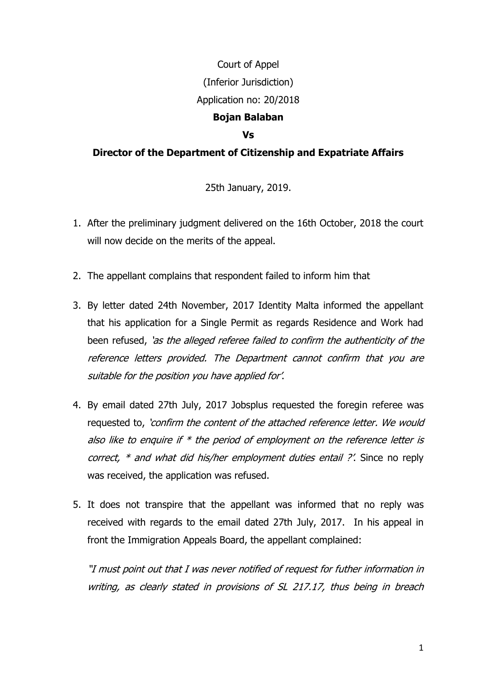## Court of Appel (Inferior Jurisdiction) Application no: 20/2018 **Bojan Balaban**

## **Vs**

## **Director of the Department of Citizenship and Expatriate Affairs**

25th January, 2019.

- 1. After the preliminary judgment delivered on the 16th October, 2018 the court will now decide on the merits of the appeal.
- 2. The appellant complains that respondent failed to inform him that
- 3. By letter dated 24th November, 2017 Identity Malta informed the appellant that his application for a Single Permit as regards Residence and Work had been refused, 'as the alleged referee failed to confirm the authenticity of the reference letters provided. The Department cannot confirm that you are suitable for the position you have applied for'.
- 4. By email dated 27th July, 2017 Jobsplus requested the foregin referee was requested to, 'confirm the content of the attached reference letter. We would also like to enquire if  $*$  the period of employment on the reference letter is correct,  $*$  and what did his/her employment duties entail ?'. Since no reply was received, the application was refused.
- 5. It does not transpire that the appellant was informed that no reply was received with regards to the email dated 27th July, 2017. In his appeal in front the Immigration Appeals Board, the appellant complained:

"I must point out that I was never notified of request for futher information in writing, as clearly stated in provisions of SL 217.17, thus being in breach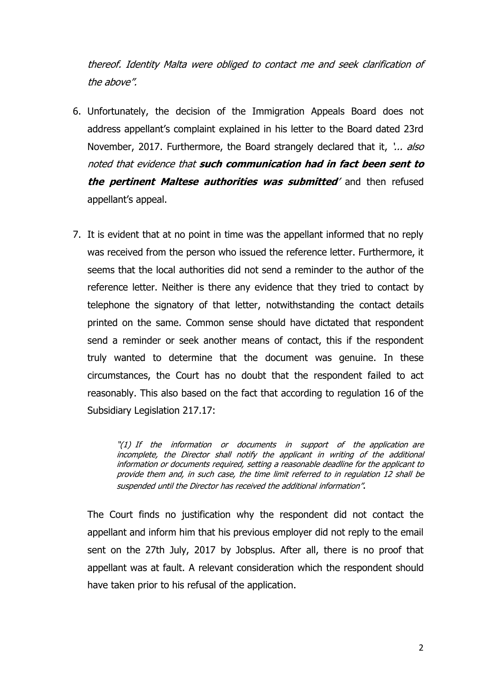thereof. Identity Malta were obliged to contact me and seek clarification of the above".

- 6. Unfortunately, the decision of the Immigration Appeals Board does not address appellant's complaint explained in his letter to the Board dated 23rd November, 2017. Furthermore, the Board strangely declared that it, '... also noted that evidence that **such communication had in fact been sent to the pertinent Maltese authorities was submitted**' and then refused appellant's appeal.
- 7. It is evident that at no point in time was the appellant informed that no reply was received from the person who issued the reference letter. Furthermore, it seems that the local authorities did not send a reminder to the author of the reference letter. Neither is there any evidence that they tried to contact by telephone the signatory of that letter, notwithstanding the contact details printed on the same. Common sense should have dictated that respondent send a reminder or seek another means of contact, this if the respondent truly wanted to determine that the document was genuine. In these circumstances, the Court has no doubt that the respondent failed to act reasonably. This also based on the fact that according to regulation 16 of the Subsidiary Legislation 217.17:

"(1) If the information or documents in support of the application are incomplete, the Director shall notify the applicant in writing of the additional information or documents required, setting a reasonable deadline for the applicant to provide them and, in such case, the time limit referred to in regulation 12 shall be suspended until the Director has received the additional information".

The Court finds no justification why the respondent did not contact the appellant and inform him that his previous employer did not reply to the email sent on the 27th July, 2017 by Jobsplus. After all, there is no proof that appellant was at fault. A relevant consideration which the respondent should have taken prior to his refusal of the application.